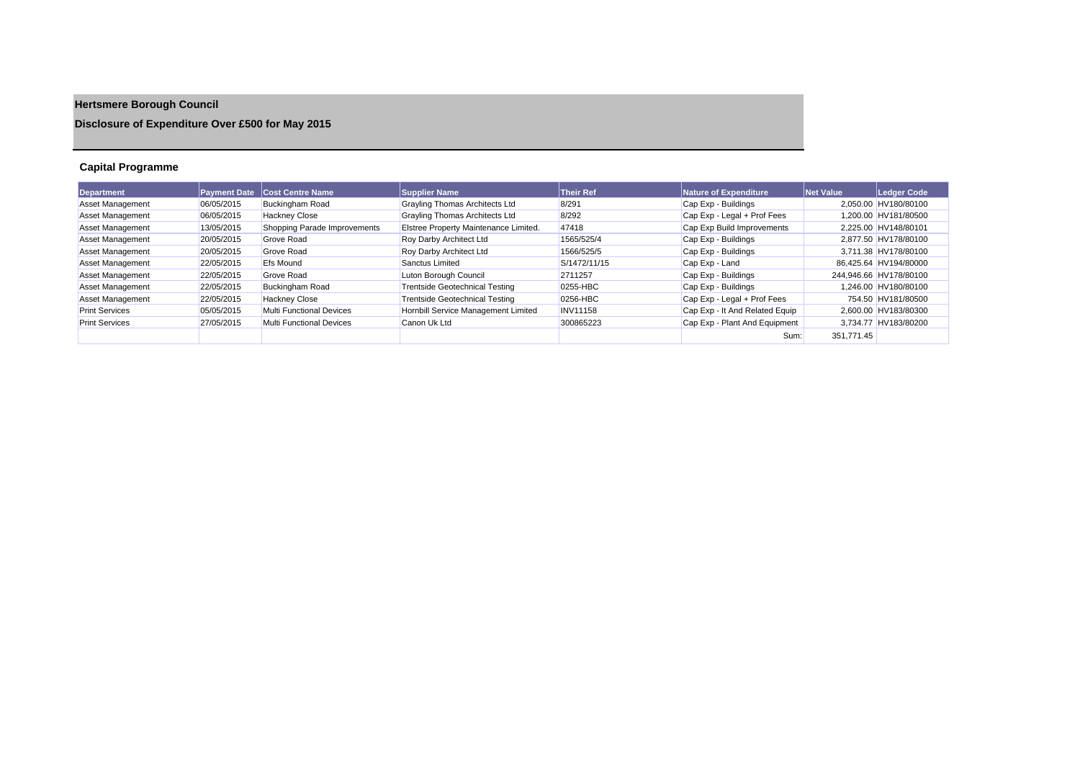# **Hertsmere Borough Council**

## **Disclosure of Expenditure Over £500 for May 2015**

## **Capital Programme**

| Department              |            | <b>Payment Date Cost Centre Name</b> | <b>Supplier Name</b>                  | <b>Their Ref</b> | Nature of Expenditure          | <b>Net Value</b> | Ledger Code            |
|-------------------------|------------|--------------------------------------|---------------------------------------|------------------|--------------------------------|------------------|------------------------|
| Asset Management        | 06/05/2015 | <b>Buckingham Road</b>               | Grayling Thomas Architects Ltd        | 8/291            | Cap Exp - Buildings            |                  | 2.050.00 HV180/80100   |
| <b>Asset Management</b> | 06/05/2015 | <b>Hackney Close</b>                 | Grayling Thomas Architects Ltd        | 8/292            | Cap Exp - Legal + Prof Fees    |                  | 1.200.00 HV181/80500   |
| <b>Asset Management</b> | 13/05/2015 | Shopping Parade Improvements         | Elstree Property Maintenance Limited. | 47418            | Cap Exp Build Improvements     |                  | 2.225.00 HV148/80101   |
| <b>Asset Management</b> | 20/05/2015 | Grove Road                           | <b>Roy Darby Architect Ltd</b>        | 1565/525/4       | Cap Exp - Buildings            |                  | 2.877.50 HV178/80100   |
| <b>Asset Management</b> | 20/05/2015 | Grove Road                           | <b>Roy Darby Architect Ltd</b>        | 1566/525/5       | Cap Exp - Buildings            |                  | 3.711.38 HV178/80100   |
| <b>Asset Management</b> | 22/05/2015 | <b>Efs Mound</b>                     | Sanctus Limited                       | S/1472/11/15     | Cap Exp - Land                 |                  | 86.425.64 HV194/80000  |
| <b>Asset Management</b> | 22/05/2015 | Grove Road                           | Luton Borough Council                 | 2711257          | Cap Exp - Buildings            |                  | 244.946.66 HV178/80100 |
| <b>Asset Management</b> | 22/05/2015 | <b>Buckingham Road</b>               | <b>Trentside Geotechnical Testing</b> | 0255-HBC         | Cap Exp - Buildings            |                  | 1.246.00 HV180/80100   |
| <b>Asset Management</b> | 22/05/2015 | <b>Hackney Close</b>                 | <b>Trentside Geotechnical Testing</b> | 0256-HBC         | Cap Exp - Legal + Prof Fees    |                  | 754.50 HV181/80500     |
| <b>Print Services</b>   | 05/05/2015 | Multi Functional Devices             | Hornbill Service Management Limited   | <b>INV11158</b>  | Cap Exp - It And Related Equip |                  | 2.600.00 HV183/80300   |
| <b>Print Services</b>   | 27/05/2015 | Multi Functional Devices             | Canon Uk Ltd                          | 300865223        | Cap Exp - Plant And Equipment  |                  | 3,734.77 HV183/80200   |
|                         |            |                                      |                                       |                  | Sum:                           | 351.771.45       |                        |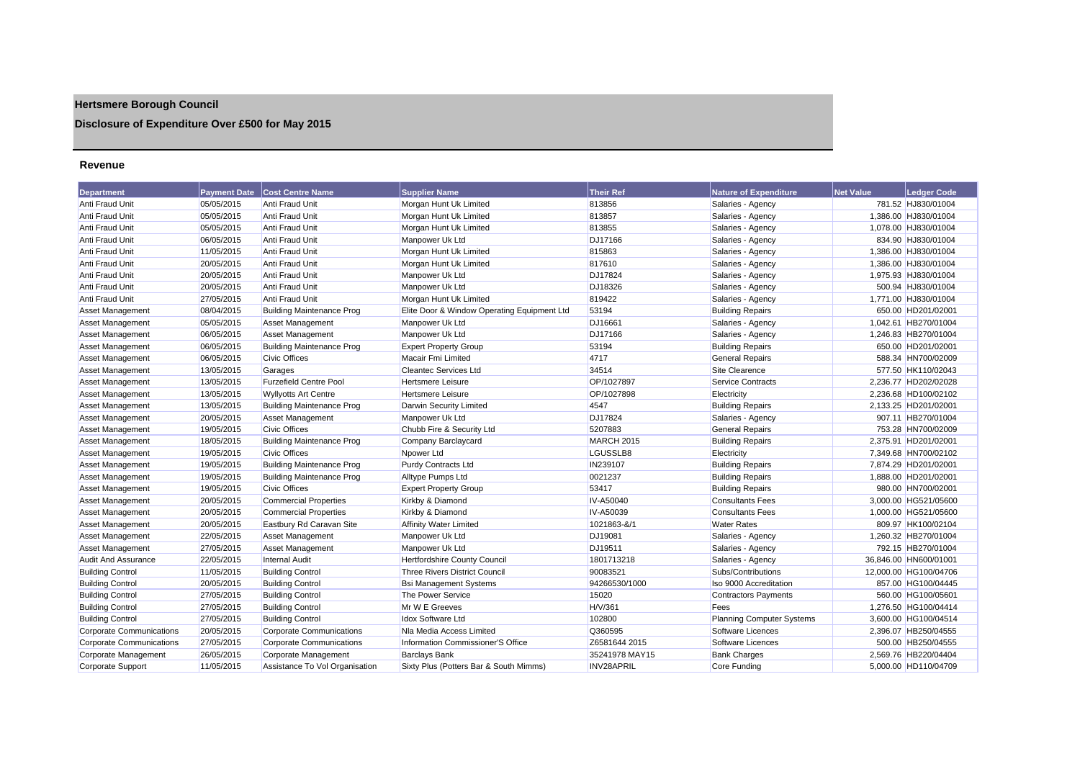## **Hertsmere Borough Council**

## **Disclosure of Expenditure Over £500 for May 2015**

#### **Revenue**

| <b>Department</b>               | <b>Payment Date</b> | <b>Cost Centre Name</b>          | <b>Supplier Name</b>                        | <b>Their Ref</b>  | <b>Nature of Expenditure</b>     | <b>Net Value</b> | Ledger Code           |
|---------------------------------|---------------------|----------------------------------|---------------------------------------------|-------------------|----------------------------------|------------------|-----------------------|
| Anti Fraud Unit                 | 05/05/2015          | Anti Fraud Unit                  | Morgan Hunt Uk Limited                      | 813856            | Salaries - Agency                |                  | 781.52 HJ830/01004    |
| Anti Fraud Unit                 | 05/05/2015          | Anti Fraud Unit                  | Morgan Hunt Uk Limited                      | 813857            | Salaries - Agency                |                  | 1,386.00 HJ830/01004  |
| Anti Fraud Unit                 | 05/05/2015          | Anti Fraud Unit                  | Morgan Hunt Uk Limited                      | 813855            | Salaries - Agency                |                  | 1,078.00 HJ830/01004  |
| Anti Fraud Unit                 | 06/05/2015          | Anti Fraud Unit                  | Manpower Uk Ltd                             | DJ17166           | Salaries - Agency                |                  | 834.90 HJ830/01004    |
| Anti Fraud Unit                 | 11/05/2015          | Anti Fraud Unit                  | Morgan Hunt Uk Limited                      | 815863            | Salaries - Agency                |                  | 1,386.00 HJ830/01004  |
| Anti Fraud Unit                 | 20/05/2015          | Anti Fraud Unit                  | Morgan Hunt Uk Limited                      | 817610            | Salaries - Agency                |                  | 1,386.00 HJ830/01004  |
| Anti Fraud Unit                 | 20/05/2015          | Anti Fraud Unit                  | Manpower Uk Ltd                             | DJ17824           | Salaries - Agency                |                  | 1,975.93 HJ830/01004  |
| Anti Fraud Unit                 | 20/05/2015          | <b>Anti Fraud Unit</b>           | Manpower Uk Ltd                             | DJ18326           | Salaries - Agency                |                  | 500.94 HJ830/01004    |
| Anti Fraud Unit                 | 27/05/2015          | Anti Fraud Unit                  | Morgan Hunt Uk Limited                      | 819422            | Salaries - Agency                |                  | 1,771.00 HJ830/01004  |
| <b>Asset Management</b>         | 08/04/2015          | <b>Building Maintenance Prog</b> | Elite Door & Window Operating Equipment Ltd | 53194             | <b>Building Repairs</b>          |                  | 650.00 HD201/02001    |
| <b>Asset Management</b>         | 05/05/2015          | <b>Asset Management</b>          | Manpower Uk Ltd                             | DJ16661           | Salaries - Agency                |                  | 1,042.61 HB270/01004  |
| <b>Asset Management</b>         | 06/05/2015          | <b>Asset Management</b>          | Manpower Uk Ltd                             | DJ17166           | Salaries - Agency                |                  | 1,246.83 HB270/01004  |
| <b>Asset Management</b>         | 06/05/2015          | <b>Building Maintenance Prog</b> | <b>Expert Property Group</b>                | 53194             | <b>Building Repairs</b>          |                  | 650.00 HD201/02001    |
| <b>Asset Management</b>         | 06/05/2015          | <b>Civic Offices</b>             | <b>Macair Fmi Limited</b>                   | 4717              | General Repairs                  |                  | 588.34 HN700/02009    |
| <b>Asset Management</b>         | 13/05/2015          | Garages                          | <b>Cleantec Services Ltd</b>                | 34514             | Site Clearence                   |                  | 577.50 HK110/02043    |
| <b>Asset Management</b>         | 13/05/2015          | <b>Furzefield Centre Pool</b>    | <b>Hertsmere Leisure</b>                    | OP/1027897        | <b>Service Contracts</b>         |                  | 2,236.77 HD202/02028  |
| <b>Asset Management</b>         | 13/05/2015          | <b>Wyllyotts Art Centre</b>      | <b>Hertsmere Leisure</b>                    | OP/1027898        | Electricity                      |                  | 2,236.68 HD100/02102  |
| <b>Asset Management</b>         | 13/05/2015          | <b>Building Maintenance Prog</b> | Darwin Security Limited                     | 4547              | <b>Building Repairs</b>          |                  | 2,133.25 HD201/02001  |
| <b>Asset Management</b>         | 20/05/2015          | Asset Management                 | Manpower Uk Ltd                             | DJ17824           | Salaries - Agency                |                  | 907.11 HB270/01004    |
| <b>Asset Management</b>         | 19/05/2015          | <b>Civic Offices</b>             | Chubb Fire & Security Ltd                   | 5207883           | <b>General Repairs</b>           |                  | 753.28 HN700/02009    |
| <b>Asset Management</b>         | 18/05/2015          | <b>Building Maintenance Prog</b> | Company Barclaycard                         | <b>MARCH 2015</b> | <b>Building Repairs</b>          |                  | 2,375.91 HD201/02001  |
| <b>Asset Management</b>         | 19/05/2015          | <b>Civic Offices</b>             | Npower Ltd                                  | LGUSSLB8          | Electricity                      |                  | 7,349.68 HN700/02102  |
| <b>Asset Management</b>         | 19/05/2015          | <b>Building Maintenance Prog</b> | <b>Purdy Contracts Ltd</b>                  | IN239107          | <b>Building Repairs</b>          |                  | 7.874.29 HD201/02001  |
| Asset Management                | 19/05/2015          | <b>Building Maintenance Prog</b> | <b>Alltype Pumps Ltd</b>                    | 0021237           | <b>Building Repairs</b>          |                  | 1,888.00 HD201/02001  |
| Asset Management                | 19/05/2015          | <b>Civic Offices</b>             | <b>Expert Property Group</b>                | 53417             | <b>Building Repairs</b>          |                  | 980.00 HN700/02001    |
| <b>Asset Management</b>         | 20/05/2015          | <b>Commercial Properties</b>     | Kirkby & Diamond                            | IV-A50040         | <b>Consultants Fees</b>          |                  | 3,000.00 HG521/05600  |
| <b>Asset Management</b>         | 20/05/2015          | <b>Commercial Properties</b>     | Kirkby & Diamond                            | IV-A50039         | <b>Consultants Fees</b>          |                  | 1,000.00 HG521/05600  |
| <b>Asset Management</b>         | 20/05/2015          | Eastbury Rd Caravan Site         | <b>Affinity Water Limited</b>               | 1021863-&/1       | <b>Water Rates</b>               |                  | 809.97 HK100/02104    |
| <b>Asset Management</b>         | 22/05/2015          | Asset Management                 | Manpower Uk Ltd                             | DJ19081           | Salaries - Agency                |                  | 1,260.32 HB270/01004  |
| <b>Asset Management</b>         | 27/05/2015          | <b>Asset Management</b>          | Manpower Uk Ltd                             | DJ19511           | Salaries - Agency                |                  | 792.15 HB270/01004    |
| <b>Audit And Assurance</b>      | 22/05/2015          | Internal Audit                   | Hertfordshire County Council                | 1801713218        | Salaries - Agency                |                  | 36,846.00 HN600/01001 |
| <b>Building Control</b>         | 11/05/2015          | <b>Building Control</b>          | <b>Three Rivers District Council</b>        | 90083521          | Subs/Contributions               |                  | 12,000.00 HG100/04706 |
| <b>Building Control</b>         | 20/05/2015          | <b>Building Control</b>          | <b>Bsi Management Systems</b>               | 94266530/1000     | Iso 9000 Accreditation           |                  | 857.00 HG100/04445    |
| <b>Building Control</b>         | 27/05/2015          | <b>Building Control</b>          | The Power Service                           | 15020             | <b>Contractors Payments</b>      |                  | 560.00 HG100/05601    |
| <b>Building Control</b>         | 27/05/2015          | <b>Building Control</b>          | Mr W E Greeves                              | H/V/361           | Fees                             |                  | 1,276.50 HG100/04414  |
| <b>Building Control</b>         | 27/05/2015          | <b>Building Control</b>          | <b>Idox Software Ltd</b>                    | 102800            | <b>Planning Computer Systems</b> |                  | 3,600.00 HG100/04514  |
| Corporate Communications        | 20/05/2015          | Corporate Communications         | Na Media Access Limited                     | Q360595           | Software Licences                |                  | 2,396.07 HB250/04555  |
| <b>Corporate Communications</b> | 27/05/2015          | Corporate Communications         | Information Commissioner'S Office           | Z6581644 2015     | Software Licences                |                  | 500.00 HB250/04555    |
| Corporate Management            | 26/05/2015          | Corporate Management             | <b>Barclays Bank</b>                        | 35241978 MAY15    | <b>Bank Charges</b>              |                  | 2.569.76 HB220/04404  |
| <b>Corporate Support</b>        | 11/05/2015          | Assistance To Vol Organisation   | Sixty Plus (Potters Bar & South Mimms)      | <b>INV28APRIL</b> | Core Funding                     |                  | 5,000.00 HD110/04709  |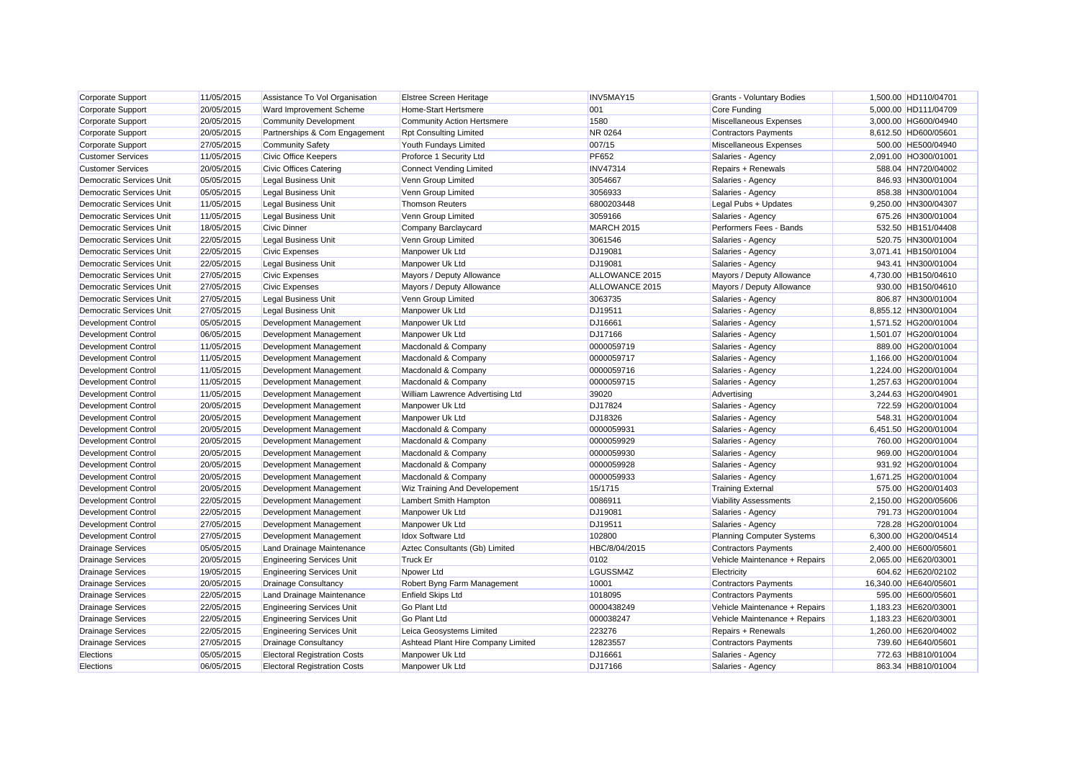| Corporate Support               | 11/05/2015 | Assistance To Vol Organisation      | Elstree Screen Heritage              | INV5MAY15         | Grants - Voluntary Bodies        | 1,500.00 HD110/04701  |
|---------------------------------|------------|-------------------------------------|--------------------------------------|-------------------|----------------------------------|-----------------------|
| Corporate Support               | 20/05/2015 | Ward Improvement Scheme             | <b>Home-Start Hertsmere</b>          | 001               | Core Funding                     | 5,000.00 HD111/04709  |
| Corporate Support               | 20/05/2015 | Community Development               | <b>Community Action Hertsmere</b>    | 1580              | Miscellaneous Expenses           | 3,000.00 HG600/04940  |
| Corporate Support               | 20/05/2015 | Partnerships & Com Engagement       | <b>Rpt Consulting Limited</b>        | <b>NR 0264</b>    | <b>Contractors Payments</b>      | 8,612.50 HD600/05601  |
| Corporate Support               | 27/05/2015 | <b>Community Safety</b>             | Youth Fundays Limited                | 007/15            | Miscellaneous Expenses           | 500.00 HE500/04940    |
| <b>Customer Services</b>        | 11/05/2015 | <b>Civic Office Keepers</b>         | Proforce 1 Security Ltd              | <b>PF652</b>      | Salaries - Agency                | 2,091.00 HO300/01001  |
| <b>Customer Services</b>        | 20/05/2015 | Civic Offices Catering              | <b>Connect Vending Limited</b>       | <b>INV47314</b>   | Repairs + Renewals               | 588.04 HN720/04002    |
| <b>Democratic Services Unit</b> | 05/05/2015 | <b>Legal Business Unit</b>          | Venn Group Limited                   | 3054667           | Salaries - Agency                | 846.93 HN300/01004    |
| <b>Democratic Services Unit</b> | 05/05/2015 | <b>Legal Business Unit</b>          | Venn Group Limited                   | 3056933           | Salaries - Agency                | 858.38 HN300/01004    |
| <b>Democratic Services Unit</b> | 11/05/2015 | <b>Legal Business Unit</b>          | <b>Thomson Reuters</b>               | 6800203448        | Legal Pubs + Updates             | 9,250.00 HN300/04307  |
| <b>Democratic Services Unit</b> | 11/05/2015 | <b>Legal Business Unit</b>          | Venn Group Limited                   | 3059166           | Salaries - Agency                | 675.26 HN300/01004    |
| <b>Democratic Services Unit</b> | 18/05/2015 | <b>Civic Dinner</b>                 | Company Barclaycard                  | <b>MARCH 2015</b> | Performers Fees - Bands          | 532.50 HB151/04408    |
| <b>Democratic Services Unit</b> | 22/05/2015 | <b>Legal Business Unit</b>          | Venn Group Limited                   | 3061546           | Salaries - Agency                | 520.75 HN300/01004    |
| <b>Democratic Services Unit</b> | 22/05/2015 | <b>Civic Expenses</b>               | Manpower Uk Ltd                      | DJ19081           | Salaries - Agency                | 3,071.41 HB150/01004  |
| <b>Democratic Services Unit</b> | 22/05/2015 | <b>Legal Business Unit</b>          | Manpower Uk Ltd                      | DJ19081           | Salaries - Agency                | 943.41 HN300/01004    |
| <b>Democratic Services Unit</b> | 27/05/2015 | <b>Civic Expenses</b>               | Mayors / Deputy Allowance            | ALLOWANCE 2015    | Mayors / Deputy Allowance        | 4,730.00 HB150/04610  |
| <b>Democratic Services Unit</b> | 27/05/2015 | <b>Civic Expenses</b>               | Mayors / Deputy Allowance            | ALLOWANCE 2015    | Mayors / Deputy Allowance        | 930.00 HB150/04610    |
| <b>Democratic Services Unit</b> | 27/05/2015 | <b>Legal Business Unit</b>          | Venn Group Limited                   | 3063735           | Salaries - Agency                | 806.87 HN300/01004    |
| <b>Democratic Services Unit</b> | 27/05/2015 | <b>Legal Business Unit</b>          | Manpower Uk Ltd                      | DJ19511           | Salaries - Agency                | 8,855.12 HN300/01004  |
| <b>Development Control</b>      | 05/05/2015 | Development Management              | Manpower Uk Ltd                      | DJ16661           | Salaries - Agency                | 1,571.52 HG200/01004  |
| <b>Development Control</b>      | 06/05/2015 | Development Management              | Manpower Uk Ltd                      | DJ17166           | Salaries - Agency                | 1,501.07 HG200/01004  |
| <b>Development Control</b>      | 11/05/2015 | Development Management              | Macdonald & Company                  | 0000059719        | Salaries - Agency                | 889.00 HG200/01004    |
| <b>Development Control</b>      | 11/05/2015 | Development Management              | Macdonald & Company                  | 0000059717        | Salaries - Agency                | 1,166.00 HG200/01004  |
| <b>Development Control</b>      | 11/05/2015 | Development Management              | Macdonald & Company                  | 0000059716        | Salaries - Agency                | 1,224.00 HG200/01004  |
| <b>Development Control</b>      | 11/05/2015 | Development Management              | Macdonald & Company                  | 0000059715        | Salaries - Agency                | 1,257.63 HG200/01004  |
| <b>Development Control</b>      | 11/05/2015 | Development Management              | William Lawrence Advertising Ltd     | 39020             | Advertising                      | 3,244.63 HG200/04901  |
| Development Control             | 20/05/2015 | Development Management              | Manpower Uk Ltd                      | DJ17824           | Salaries - Agency                | 722.59 HG200/01004    |
| <b>Development Control</b>      | 20/05/2015 | Development Management              | Manpower Uk Ltd                      | DJ18326           | Salaries - Agency                | 548.31 HG200/01004    |
| <b>Development Control</b>      | 20/05/2015 | Development Management              | Macdonald & Company                  | 0000059931        | Salaries - Agency                | 6,451.50 HG200/01004  |
| <b>Development Control</b>      | 20/05/2015 | Development Management              | Macdonald & Company                  | 0000059929        | Salaries - Agency                | 760.00 HG200/01004    |
| <b>Development Control</b>      | 20/05/2015 | Development Management              | Macdonald & Company                  | 0000059930        | Salaries - Agency                | 969.00 HG200/01004    |
| <b>Development Control</b>      | 20/05/2015 | Development Management              | Macdonald & Company                  | 0000059928        | Salaries - Agency                | 931.92 HG200/01004    |
| <b>Development Control</b>      | 20/05/2015 | Development Management              | Macdonald & Company                  | 0000059933        | Salaries - Agency                | 1,671.25 HG200/01004  |
| <b>Development Control</b>      | 20/05/2015 | Development Management              | <b>Wiz Training And Developement</b> | 15/1715           | <b>Training External</b>         | 575.00 HG200/01403    |
| <b>Development Control</b>      | 22/05/2015 | Development Management              | Lambert Smith Hampton                | 0086911           | <b>Viability Assessments</b>     | 2,150.00 HG200/05606  |
| <b>Development Control</b>      | 22/05/2015 | Development Management              | Manpower Uk Ltd                      | DJ19081           | Salaries - Agency                | 791.73 HG200/01004    |
| <b>Development Control</b>      | 27/05/2015 | Development Management              | Manpower Uk Ltd                      | DJ19511           | Salaries - Agency                | 728.28 HG200/01004    |
| Development Control             | 27/05/2015 | Development Management              | <b>Idox Software Ltd</b>             | 102800            | <b>Planning Computer Systems</b> | 6,300.00 HG200/04514  |
| <b>Drainage Services</b>        | 05/05/2015 | Land Drainage Maintenance           | Aztec Consultants (Gb) Limited       | HBC/8/04/2015     | <b>Contractors Payments</b>      | 2,400.00 HE600/05601  |
| <b>Drainage Services</b>        | 20/05/2015 | <b>Engineering Services Unit</b>    | <b>Truck Er</b>                      | 0102              | Vehicle Maintenance + Repairs    | 2,065.00 HE620/03001  |
| <b>Drainage Services</b>        | 19/05/2015 | <b>Engineering Services Unit</b>    | Npower Ltd                           | LGUSSM4Z          | Electricity                      | 604.62 HE620/02102    |
| <b>Drainage Services</b>        | 20/05/2015 | <b>Drainage Consultancy</b>         | Robert Byng Farm Management          | 10001             | <b>Contractors Payments</b>      | 16,340.00 HE640/05601 |
| <b>Drainage Services</b>        | 22/05/2015 | Land Drainage Maintenance           | <b>Enfield Skips Ltd</b>             | 1018095           | <b>Contractors Payments</b>      | 595.00 HE600/05601    |
| <b>Drainage Services</b>        | 22/05/2015 | <b>Engineering Services Unit</b>    | <b>Go Plant Ltd</b>                  | 0000438249        | Vehicle Maintenance + Repairs    | 1,183.23 HE620/03001  |
| <b>Drainage Services</b>        | 22/05/2015 | <b>Engineering Services Unit</b>    | <b>Go Plant Ltd</b>                  | 000038247         | Vehicle Maintenance + Repairs    | 1,183.23 HE620/03001  |
| <b>Drainage Services</b>        | 22/05/2015 | <b>Engineering Services Unit</b>    | Leica Geosystems Limited             | 223276            | Repairs + Renewals               | 1,260.00 HE620/04002  |
| <b>Drainage Services</b>        | 27/05/2015 | <b>Drainage Consultancy</b>         | Ashtead Plant Hire Company Limited   | 12823557          | <b>Contractors Payments</b>      | 739.60 HE640/05601    |
| Elections                       | 05/05/2015 | <b>Electoral Registration Costs</b> | Manpower Uk Ltd                      | DJ16661           | Salaries - Agency                | 772.63 HB810/01004    |
| Elections                       | 06/05/2015 | <b>Electoral Registration Costs</b> | Manpower Uk Ltd                      | DJ17166           | Salaries - Agency                | 863.34 HB810/01004    |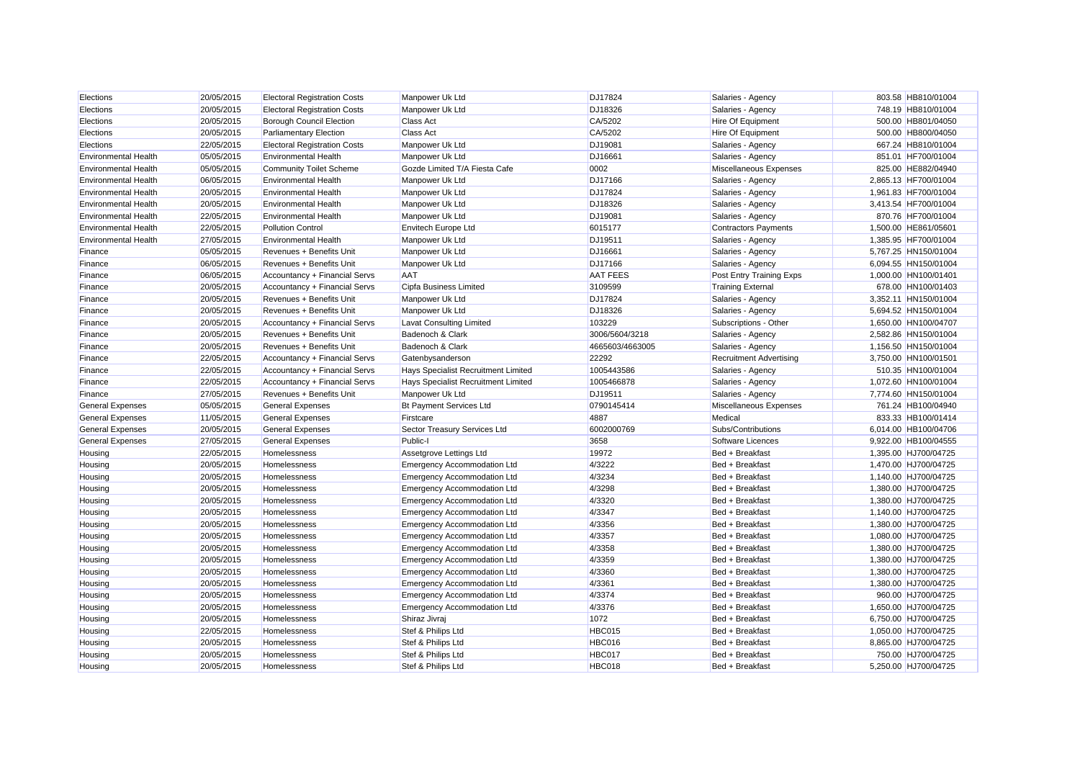| Elections                   | 20/05/2015 | <b>Electoral Registration Costs</b> | Manpower Uk Ltd                            | DJ17824         | Salaries - Agency              | 803.58 HB810/01004   |
|-----------------------------|------------|-------------------------------------|--------------------------------------------|-----------------|--------------------------------|----------------------|
| Elections                   | 20/05/2015 | <b>Electoral Registration Costs</b> | Manpower Uk Ltd                            | DJ18326         | Salaries - Agency              | 748.19 HB810/01004   |
| Elections                   | 20/05/2015 | <b>Borough Council Election</b>     | <b>Class Act</b>                           | CA/5202         | Hire Of Equipment              | 500.00 HB801/04050   |
| Elections                   | 20/05/2015 | <b>Parliamentary Election</b>       | <b>Class Act</b>                           | CA/5202         | Hire Of Equipment              | 500.00 HB800/04050   |
| Elections                   | 22/05/2015 | <b>Electoral Registration Costs</b> | Manpower Uk Ltd                            | DJ19081         | Salaries - Agency              | 667.24 HB810/01004   |
| <b>Environmental Health</b> | 05/05/2015 | <b>Environmental Health</b>         | Manpower Uk Ltd                            | DJ16661         | Salaries - Agency              | 851.01 HF700/01004   |
| <b>Environmental Health</b> | 05/05/2015 | Community Toilet Scheme             | Gozde Limited T/A Fiesta Cafe              | 0002            | Miscellaneous Expenses         | 825.00 HE882/04940   |
| <b>Environmental Health</b> | 06/05/2015 | <b>Environmental Health</b>         | Manpower Uk Ltd                            | DJ17166         | Salaries - Agency              | 2,865.13 HF700/01004 |
| <b>Environmental Health</b> | 20/05/2015 | <b>Environmental Health</b>         | Manpower Uk Ltd                            | DJ17824         | Salaries - Agency              | 1,961.83 HF700/01004 |
| <b>Environmental Health</b> | 20/05/2015 | <b>Environmental Health</b>         | Manpower Uk Ltd                            | DJ18326         | Salaries - Agency              | 3,413.54 HF700/01004 |
| <b>Environmental Health</b> | 22/05/2015 | <b>Environmental Health</b>         | Manpower Uk Ltd                            | DJ19081         | Salaries - Agency              | 870.76 HF700/01004   |
| <b>Environmental Health</b> | 22/05/2015 | <b>Pollution Control</b>            | <b>Envitech Europe Ltd</b>                 | 6015177         | <b>Contractors Payments</b>    | 1,500.00 HE861/05601 |
| <b>Environmental Health</b> | 27/05/2015 | <b>Environmental Health</b>         | Manpower Uk Ltd                            | DJ19511         | Salaries - Agency              | 1,385.95 HF700/01004 |
| Finance                     | 05/05/2015 | Revenues + Benefits Unit            | Manpower Uk Ltd                            | DJ16661         | Salaries - Agency              | 5,767.25 HN150/01004 |
| Finance                     | 06/05/2015 | Revenues + Benefits Unit            | Manpower Uk Ltd                            | DJ17166         | Salaries - Agency              | 6,094.55 HN150/01004 |
| Finance                     | 06/05/2015 | Accountancy + Financial Servs       | <b>AAT</b>                                 | <b>AAT FEES</b> | Post Entry Training Exps       | 1.000.00 HN100/01401 |
| Finance                     | 20/05/2015 | Accountancy + Financial Servs       | Cipfa Business Limited                     | 3109599         | <b>Training External</b>       | 678.00 HN100/01403   |
| Finance                     | 20/05/2015 | Revenues + Benefits Unit            | Manpower Uk Ltd                            | DJ17824         | Salaries - Agency              | 3,352.11 HN150/01004 |
| Finance                     | 20/05/2015 | Revenues + Benefits Unit            | Manpower Uk Ltd                            | DJ18326         | Salaries - Agency              | 5,694.52 HN150/01004 |
| Finance                     | 20/05/2015 | Accountancy + Financial Servs       | <b>Lavat Consulting Limited</b>            | 103229          | Subscriptions - Other          | 1,650.00 HN100/04707 |
| Finance                     | 20/05/2015 | Revenues + Benefits Unit            | Badenoch & Clark                           | 3006/5604/3218  | Salaries - Agency              | 2,582.86 HN150/01004 |
| Finance                     | 20/05/2015 | Revenues + Benefits Unit            | Badenoch & Clark                           | 4665603/4663005 | Salaries - Agency              | 1,156.50 HN150/01004 |
| Finance                     | 22/05/2015 | Accountancy + Financial Servs       | Gatenbysanderson                           | 22292           | <b>Recruitment Advertising</b> | 3,750.00 HN100/01501 |
| Finance                     | 22/05/2015 | Accountancy + Financial Servs       | <b>Hays Specialist Recruitment Limited</b> | 1005443586      | Salaries - Agency              | 510.35 HN100/01004   |
| Finance                     | 22/05/2015 | Accountancy + Financial Servs       | Hays Specialist Recruitment Limited        | 1005466878      | Salaries - Agency              | 1,072.60 HN100/01004 |
| Finance                     | 27/05/2015 | Revenues + Benefits Unit            | Manpower Uk Ltd                            | DJ19511         | Salaries - Agency              | 7,774.60 HN150/01004 |
| <b>General Expenses</b>     | 05/05/2015 | <b>General Expenses</b>             | <b>Bt Payment Services Ltd</b>             | 0790145414      | Miscellaneous Expenses         | 761.24 HB100/04940   |
| <b>General Expenses</b>     | 11/05/2015 | <b>General Expenses</b>             | Firstcare                                  | 4887            | Medical                        | 833.33 HB100/01414   |
| <b>General Expenses</b>     | 20/05/2015 | <b>General Expenses</b>             | Sector Treasury Services Ltd               | 6002000769      | Subs/Contributions             | 6,014.00 HB100/04706 |
| <b>General Expenses</b>     | 27/05/2015 | <b>General Expenses</b>             | Public-I                                   | 3658            | Software Licences              | 9,922.00 HB100/04555 |
| Housing                     | 22/05/2015 | Homelessness                        | Assetgrove Lettings Ltd                    | 19972           | Bed + Breakfast                | 1,395.00 HJ700/04725 |
| Housing                     | 20/05/2015 | Homelessness                        | <b>Emergency Accommodation Ltd</b>         | 4/3222          | Bed + Breakfast                | 1,470.00 HJ700/04725 |
| Housing                     | 20/05/2015 | Homelessness                        | <b>Emergency Accommodation Ltd</b>         | 4/3234          | Bed + Breakfast                | 1,140.00 HJ700/04725 |
| Housing                     | 20/05/2015 | Homelessness                        | <b>Emergency Accommodation Ltd</b>         | 4/3298          | Bed + Breakfast                | 1,380.00 HJ700/04725 |
| Housing                     | 20/05/2015 | Homelessness                        | <b>Emergency Accommodation Ltd</b>         | 4/3320          | Bed + Breakfast                | 1,380.00 HJ700/04725 |
| Housing                     | 20/05/2015 | Homelessness                        | <b>Emergency Accommodation Ltd</b>         | 4/3347          | Bed + Breakfast                | 1,140.00 HJ700/04725 |
| Housing                     | 20/05/2015 | Homelessness                        | <b>Emergency Accommodation Ltd</b>         | 4/3356          | Bed + Breakfast                | 1,380.00 HJ700/04725 |
| Housing                     | 20/05/2015 | Homelessness                        | <b>Emergency Accommodation Ltd</b>         | 4/3357          | Bed + Breakfast                | 1,080.00 HJ700/04725 |
| Housing                     | 20/05/2015 | Homelessness                        | <b>Emergency Accommodation Ltd</b>         | 4/3358          | Bed + Breakfast                | 1,380.00 HJ700/04725 |
| Housing                     | 20/05/2015 | Homelessness                        | <b>Emergency Accommodation Ltd</b>         | 4/3359          | Bed + Breakfast                | 1,380.00 HJ700/04725 |
| Housing                     | 20/05/2015 | Homelessness                        | <b>Emergency Accommodation Ltd</b>         | 4/3360          | Bed + Breakfast                | 1,380.00 HJ700/04725 |
| Housing                     | 20/05/2015 | Homelessness                        | <b>Emergency Accommodation Ltd</b>         | 4/3361          | Bed + Breakfast                | 1,380.00 HJ700/04725 |
| Housing                     | 20/05/2015 | Homelessness                        | <b>Emergency Accommodation Ltd</b>         | 4/3374          | Bed + Breakfast                | 960.00 HJ700/04725   |
| Housing                     | 20/05/2015 | Homelessness                        | <b>Emergency Accommodation Ltd</b>         | 4/3376          | Bed + Breakfast                | 1,650.00 HJ700/04725 |
| Housing                     | 20/05/2015 | Homelessness                        | Shiraz Jivraj                              | 1072            | Bed + Breakfast                | 6.750.00 HJ700/04725 |
| Housing                     | 22/05/2015 | Homelessness                        | Stef & Philips Ltd                         | <b>HBC015</b>   | Bed + Breakfast                | 1,050.00 HJ700/04725 |
| Housing                     | 20/05/2015 | Homelessness                        | Stef & Philips Ltd                         | <b>HBC016</b>   | Bed + Breakfast                | 8,865.00 HJ700/04725 |
| Housing                     | 20/05/2015 | Homelessness                        | Stef & Philips Ltd                         | HBC017          | Bed + Breakfast                | 750.00 HJ700/04725   |
| Housing                     | 20/05/2015 | Homelessness                        | Stef & Philips Ltd                         | <b>HBC018</b>   | Bed + Breakfast                | 5.250.00 HJ700/04725 |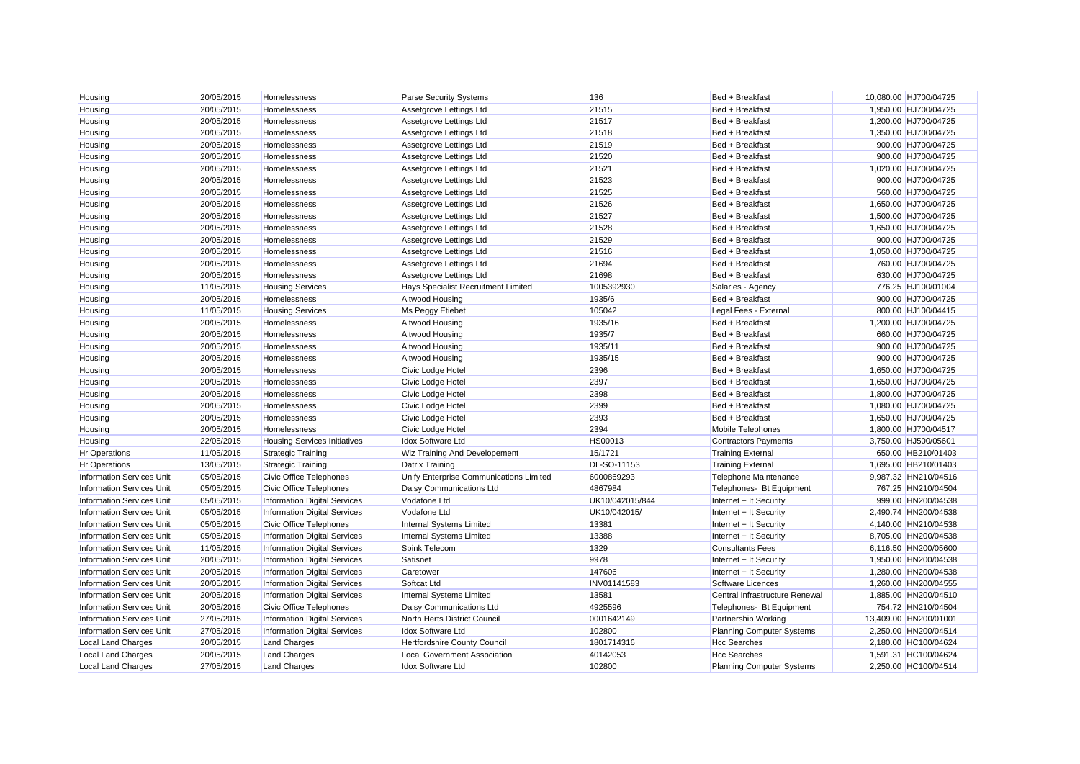| Housing                          | 20/05/2015 | Homelessness                        | Parse Security Systems                  | 136             | Bed + Breakfast                  | 10,080.00 HJ700/04725 |
|----------------------------------|------------|-------------------------------------|-----------------------------------------|-----------------|----------------------------------|-----------------------|
| Housing                          | 20/05/2015 | Homelessness                        | Assetgrove Lettings Ltd                 | 21515           | Bed + Breakfast                  | 1,950.00 HJ700/04725  |
| Housing                          | 20/05/2015 | Homelessness                        | Assetgrove Lettings Ltd                 | 21517           | Bed + Breakfast                  | 1,200.00 HJ700/04725  |
| Housing                          | 20/05/2015 | Homelessness                        | Assetgrove Lettings Ltd                 | 21518           | Bed + Breakfast                  | 1,350.00 HJ700/04725  |
| Housing                          | 20/05/2015 | Homelessness                        | Assetgrove Lettings Ltd                 | 21519           | Bed + Breakfast                  | 900.00 HJ700/04725    |
| Housing                          | 20/05/2015 | Homelessness                        | Assetgrove Lettings Ltd                 | 21520           | Bed + Breakfast                  | 900.00 HJ700/04725    |
| Housing                          | 20/05/2015 | Homelessness                        | Assetgrove Lettings Ltd                 | 21521           | Bed + Breakfast                  | 1,020.00 HJ700/04725  |
| Housing                          | 20/05/2015 | Homelessness                        | Assetgrove Lettings Ltd                 | 21523           | Bed + Breakfast                  | 900.00 HJ700/04725    |
| Housing                          | 20/05/2015 | Homelessness                        | Assetgrove Lettings Ltd                 | 21525           | Bed + Breakfast                  | 560.00 HJ700/04725    |
| Housing                          | 20/05/2015 | Homelessness                        | Assetgrove Lettings Ltd                 | 21526           | Bed + Breakfast                  | 1,650.00 HJ700/04725  |
| Housing                          | 20/05/2015 | Homelessness                        | Assetgrove Lettings Ltd                 | 21527           | Bed + Breakfast                  | 1,500.00 HJ700/04725  |
| Housing                          | 20/05/2015 | Homelessness                        | Assetgrove Lettings Ltd                 | 21528           | Bed + Breakfast                  | 1,650.00 HJ700/04725  |
| Housing                          | 20/05/2015 | Homelessness                        | Assetgrove Lettings Ltd                 | 21529           | Bed + Breakfast                  | 900.00 HJ700/04725    |
| Housing                          | 20/05/2015 | Homelessness                        | Assetgrove Lettings Ltd                 | 21516           | Bed + Breakfast                  | 1,050.00 HJ700/04725  |
| Housing                          | 20/05/2015 | Homelessness                        | Assetgrove Lettings Ltd                 | 21694           | Bed + Breakfast                  | 760.00 HJ700/04725    |
| Housing                          | 20/05/2015 | Homelessness                        | Assetgrove Lettings Ltd                 | 21698           | Bed + Breakfast                  | 630.00 HJ700/04725    |
| Housing                          | 11/05/2015 | <b>Housing Services</b>             | Hays Specialist Recruitment Limited     | 1005392930      | Salaries - Agency                | 776.25 HJ100/01004    |
| Housing                          | 20/05/2015 | Homelessness                        | <b>Altwood Housing</b>                  | 1935/6          | Bed + Breakfast                  | 900.00 HJ700/04725    |
| Housing                          | 11/05/2015 | <b>Housing Services</b>             | Ms Peggy Etiebet                        | 105042          | Legal Fees - External            | 800.00 HJ100/04415    |
| Housing                          | 20/05/2015 | Homelessness                        | Altwood Housing                         | 1935/16         | Bed + Breakfast                  | 1,200.00 HJ700/04725  |
| Housing                          | 20/05/2015 | Homelessness                        | Altwood Housing                         | 1935/7          | Bed + Breakfast                  | 660.00 HJ700/04725    |
| Housing                          | 20/05/2015 | Homelessness                        | Altwood Housing                         | 1935/11         | Bed + Breakfast                  | 900.00 HJ700/04725    |
| Housing                          | 20/05/2015 | Homelessness                        | Altwood Housing                         | 1935/15         | Bed + Breakfast                  | 900.00 HJ700/04725    |
| Housing                          | 20/05/2015 | Homelessness                        | Civic Lodge Hotel                       | 2396            | Bed + Breakfast                  | 1,650.00 HJ700/04725  |
| Housing                          | 20/05/2015 | Homelessness                        | Civic Lodge Hotel                       | 2397            | Bed + Breakfast                  | 1,650.00 HJ700/04725  |
| Housing                          | 20/05/2015 | Homelessness                        | Civic Lodge Hotel                       | 2398            | Bed + Breakfast                  | 1,800.00 HJ700/04725  |
| Housing                          | 20/05/2015 | Homelessness                        | Civic Lodge Hotel                       | 2399            | Bed + Breakfast                  | 1,080.00 HJ700/04725  |
| Housing                          | 20/05/2015 | Homelessness                        | Civic Lodge Hotel                       | 2393            | Bed + Breakfast                  | 1,650.00 HJ700/04725  |
| Housing                          | 20/05/2015 | Homelessness                        | Civic Lodge Hotel                       | 2394            | Mobile Telephones                | 1,800.00 HJ700/04517  |
| Housing                          | 22/05/2015 | <b>Housing Services Initiatives</b> | <b>Idox Software Ltd</b>                | <b>HS00013</b>  | <b>Contractors Payments</b>      | 3,750.00 HJ500/05601  |
| <b>Hr Operations</b>             | 11/05/2015 | <b>Strategic Training</b>           | <b>Wiz Training And Developement</b>    | 15/1721         | <b>Training External</b>         | 650.00 HB210/01403    |
| <b>Hr Operations</b>             | 13/05/2015 | <b>Strategic Training</b>           | <b>Datrix Training</b>                  | DL-SO-11153     | <b>Training External</b>         | 1,695.00 HB210/01403  |
| <b>Information Services Unit</b> | 05/05/2015 | <b>Civic Office Telephones</b>      | Unify Enterprise Communications Limited | 6000869293      | Telephone Maintenance            | 9,987.32 HN210/04516  |
| <b>Information Services Unit</b> | 05/05/2015 | <b>Civic Office Telephones</b>      | Daisy Communications Ltd                | 4867984         | Telephones- Bt Equipment         | 767.25 HN210/04504    |
| <b>Information Services Unit</b> | 05/05/2015 | <b>Information Digital Services</b> | Vodafone Ltd                            | UK10/042015/844 | Internet + It Security           | 999.00 HN200/04538    |
| <b>Information Services Unit</b> | 05/05/2015 | <b>Information Digital Services</b> | Vodafone Ltd                            | UK10/042015/    | Internet + It Security           | 2,490.74 HN200/04538  |
| <b>Information Services Unit</b> | 05/05/2015 | Civic Office Telephones             | Internal Systems Limited                | 13381           | Internet + It Security           | 4,140.00 HN210/04538  |
| <b>Information Services Unit</b> | 05/05/2015 | <b>Information Digital Services</b> | Internal Systems Limited                | 13388           | Internet + It Security           | 8,705.00 HN200/04538  |
| <b>Information Services Unit</b> | 11/05/2015 | <b>Information Digital Services</b> | Spink Telecom                           | 1329            | <b>Consultants Fees</b>          | 6,116.50 HN200/05600  |
| <b>Information Services Unit</b> | 20/05/2015 | <b>Information Digital Services</b> | Satisnet                                | 9978            | Internet + It Security           | 1,950.00 HN200/04538  |
| <b>Information Services Unit</b> | 20/05/2015 | <b>Information Digital Services</b> | Caretower                               | 147606          | Internet + It Security           | 1,280.00 HN200/04538  |
| <b>Information Services Unit</b> | 20/05/2015 | <b>Information Digital Services</b> | Softcat Ltd                             | INV01141583     | Software Licences                | 1,260.00 HN200/04555  |
| <b>Information Services Unit</b> | 20/05/2015 | <b>Information Digital Services</b> | Internal Systems Limited                | 13581           | Central Infrastructure Renewal   | 1,885.00 HN200/04510  |
| <b>Information Services Unit</b> | 20/05/2015 | Civic Office Telephones             | Daisy Communications Ltd                | 4925596         | Telephones- Bt Equipment         | 754.72 HN210/04504    |
| <b>Information Services Unit</b> | 27/05/2015 | <b>Information Digital Services</b> | North Herts District Council            | 0001642149      | Partnership Working              | 13,409.00 HN200/01001 |
| Information Services Unit        | 27/05/2015 | Information Digital Services        | Idox Software Ltd                       | 102800          | <b>Planning Computer Systems</b> | 2,250.00 HN200/04514  |
| Local Land Charges               | 20/05/2015 | <b>Land Charges</b>                 | Hertfordshire County Council            | 1801714316      | <b>Hcc Searches</b>              | 2,180.00 HC100/04624  |
| Local Land Charges               | 20/05/2015 | <b>Land Charges</b>                 | Local Government Association            | 40142053        | <b>Hcc Searches</b>              | 1.591.31 HC100/04624  |
| <b>Local Land Charges</b>        | 27/05/2015 | <b>Land Charges</b>                 | <b>Idox Software Ltd</b>                | 102800          | <b>Planning Computer Systems</b> | 2.250.00 HC100/04514  |
|                                  |            |                                     |                                         |                 |                                  |                       |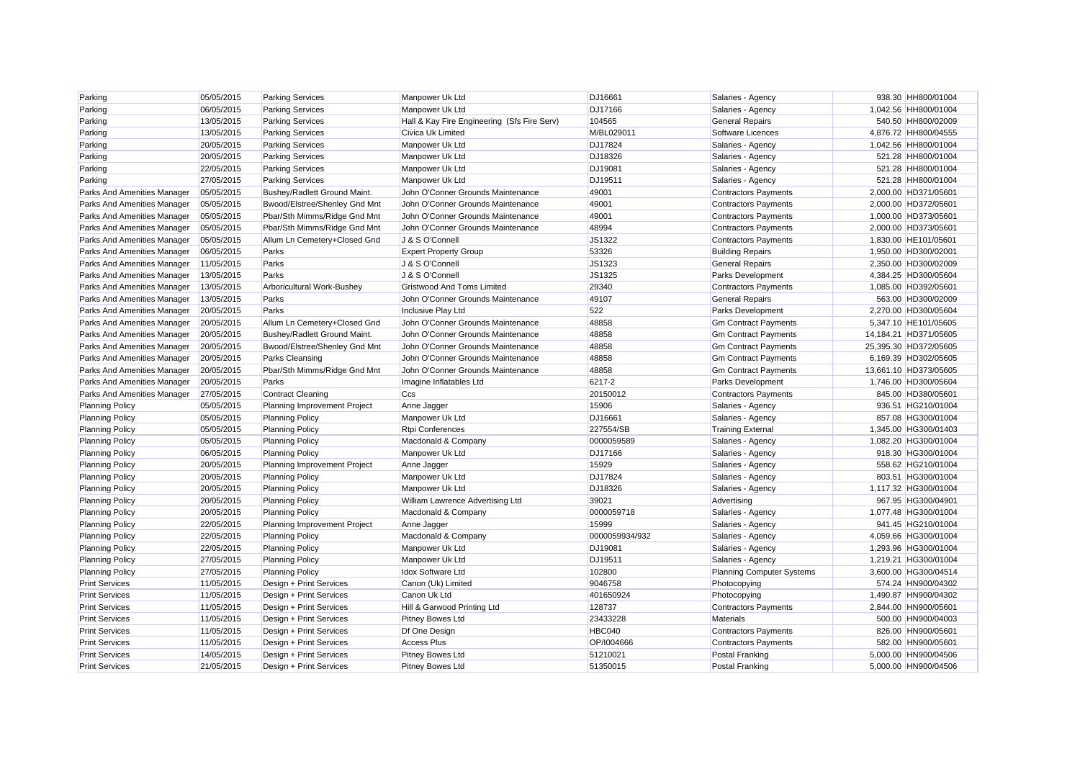| Parking                     | 05/05/2015 | <b>Parking Services</b>       | Manpower Uk Ltd                             | DJ16661        | Salaries - Agency                | 938.30 HH800/01004    |
|-----------------------------|------------|-------------------------------|---------------------------------------------|----------------|----------------------------------|-----------------------|
| Parking                     | 06/05/2015 | <b>Parking Services</b>       | Manpower Uk Ltd                             | DJ17166        | Salaries - Agency                | 1,042.56 HH800/01004  |
| Parking                     | 13/05/2015 | <b>Parking Services</b>       | Hall & Kay Fire Engineering (Sfs Fire Serv) | 104565         | <b>General Repairs</b>           | 540.50 HH800/02009    |
| Parking                     | 13/05/2015 | <b>Parking Services</b>       | <b>Civica Uk Limited</b>                    | M/BL029011     | Software Licences                | 4,876.72 HH800/04555  |
| Parking                     | 20/05/2015 | <b>Parking Services</b>       | Manpower Uk Ltd                             | <b>DJ17824</b> | Salaries - Agency                | 1,042.56 HH800/01004  |
| Parking                     | 20/05/2015 | <b>Parking Services</b>       | Manpower Uk Ltd                             | DJ18326        | Salaries - Agency                | 521.28 HH800/01004    |
| Parking                     | 22/05/2015 | <b>Parking Services</b>       | Manpower Uk Ltd                             | DJ19081        | Salaries - Agency                | 521.28 HH800/01004    |
| Parking                     | 27/05/2015 | <b>Parking Services</b>       | Manpower Uk Ltd                             | DJ19511        | Salaries - Agency                | 521.28 HH800/01004    |
| Parks And Amenities Manager | 05/05/2015 | Bushey/Radlett Ground Maint.  | John O'Conner Grounds Maintenance           | 49001          | <b>Contractors Payments</b>      | 2,000.00 HD371/05601  |
| Parks And Amenities Manager | 05/05/2015 | Bwood/Elstree/Shenley Gnd Mnt | John O'Conner Grounds Maintenance           | 49001          | <b>Contractors Payments</b>      | 2,000.00 HD372/05601  |
| Parks And Amenities Manager | 05/05/2015 | Pbar/Sth Mimms/Ridge Gnd Mnt  | John O'Conner Grounds Maintenance           | 49001          | <b>Contractors Payments</b>      | 1,000.00 HD373/05601  |
| Parks And Amenities Manager | 05/05/2015 | Pbar/Sth Mimms/Ridge Gnd Mnt  | John O'Conner Grounds Maintenance           | 48994          | <b>Contractors Payments</b>      | 2,000.00 HD373/05601  |
| Parks And Amenities Manager | 05/05/2015 | Allum Ln Cemetery+Closed Gnd  | J & S O'Connell                             | JS1322         | <b>Contractors Payments</b>      | 1,830.00 HE101/05601  |
| Parks And Amenities Manager | 06/05/2015 | Parks                         | <b>Expert Property Group</b>                | 53326          | <b>Building Repairs</b>          | 1,950.00 HD300/02001  |
| Parks And Amenities Manager | 11/05/2015 | Parks                         | J & S O'Connell                             | JS1323         | <b>General Repairs</b>           | 2,350.00 HD300/02009  |
| Parks And Amenities Manager | 13/05/2015 | Parks                         | J & S O'Connell                             | JS1325         | Parks Development                | 4,384.25 HD300/05604  |
| Parks And Amenities Manager | 13/05/2015 | Arboricultural Work-Bushey    | <b>Gristwood And Toms Limited</b>           | 29340          | <b>Contractors Payments</b>      | 1,085.00 HD392/05601  |
| Parks And Amenities Manager | 13/05/2015 | Parks                         | John O'Conner Grounds Maintenance           | 49107          | <b>General Repairs</b>           | 563.00 HD300/02009    |
| Parks And Amenities Manager | 20/05/2015 | Parks                         | Inclusive Play Ltd                          | 522            | Parks Development                | 2,270.00 HD300/05604  |
| Parks And Amenities Manager | 20/05/2015 | Allum Ln Cemetery+Closed Gnd  | John O'Conner Grounds Maintenance           | 48858          | <b>Gm Contract Payments</b>      | 5,347.10 HE101/05605  |
| Parks And Amenities Manager | 20/05/2015 | Bushey/Radlett Ground Maint.  | John O'Conner Grounds Maintenance           | 48858          | <b>Gm Contract Payments</b>      | 14,184.21 HD371/05605 |
| Parks And Amenities Manager | 20/05/2015 | Bwood/Elstree/Shenley Gnd Mnt | John O'Conner Grounds Maintenance           | 48858          | <b>Gm Contract Payments</b>      | 25,395.30 HD372/05605 |
| Parks And Amenities Manager | 20/05/2015 | <b>Parks Cleansing</b>        | John O'Conner Grounds Maintenance           | 48858          | <b>Gm Contract Payments</b>      | 6,169.39 HD302/05605  |
| Parks And Amenities Manager | 20/05/2015 | Pbar/Sth Mimms/Ridge Gnd Mnt  | John O'Conner Grounds Maintenance           | 48858          | <b>Gm Contract Payments</b>      | 13,661.10 HD373/05605 |
| Parks And Amenities Manager | 20/05/2015 | Parks                         | Imagine Inflatables Ltd                     | 6217-2         | Parks Development                | 1,746.00 HD300/05604  |
| Parks And Amenities Manager | 27/05/2015 | <b>Contract Cleaning</b>      | Ccs                                         | 20150012       | <b>Contractors Payments</b>      | 845.00 HD380/05601    |
| <b>Planning Policy</b>      | 05/05/2015 | Planning Improvement Project  | Anne Jagger                                 | 15906          | Salaries - Agency                | 936.51 HG210/01004    |
| <b>Planning Policy</b>      | 05/05/2015 | <b>Planning Policy</b>        | Manpower Uk Ltd                             | DJ16661        | Salaries - Agency                | 857.08 HG300/01004    |
| <b>Planning Policy</b>      | 05/05/2015 | <b>Planning Policy</b>        | <b>Rtpi Conferences</b>                     | 227554/SB      | <b>Training External</b>         | 1.345.00 HG300/01403  |
| <b>Planning Policy</b>      | 05/05/2015 | <b>Planning Policy</b>        | Macdonald & Company                         | 0000059589     | Salaries - Agency                | 1,082.20 HG300/01004  |
| <b>Planning Policy</b>      | 06/05/2015 | <b>Planning Policy</b>        | Manpower Uk Ltd                             | DJ17166        | Salaries - Agency                | 918.30 HG300/01004    |
| <b>Planning Policy</b>      | 20/05/2015 | Planning Improvement Project  | Anne Jagger                                 | 15929          | Salaries - Agency                | 558.62 HG210/01004    |
| <b>Planning Policy</b>      | 20/05/2015 | <b>Planning Policy</b>        | Manpower Uk Ltd                             | <b>DJ17824</b> | Salaries - Agency                | 803.51 HG300/01004    |
| <b>Planning Policy</b>      | 20/05/2015 | <b>Planning Policy</b>        | Manpower Uk Ltd                             | DJ18326        | Salaries - Agency                | 1,117.32 HG300/01004  |
| <b>Planning Policy</b>      | 20/05/2015 | <b>Planning Policy</b>        | William Lawrence Advertising Ltd            | 39021          | Advertising                      | 967.95 HG300/04901    |
| <b>Planning Policy</b>      | 20/05/2015 | <b>Planning Policy</b>        | Macdonald & Company                         | 0000059718     | Salaries - Agency                | 1,077.48 HG300/01004  |
| <b>Planning Policy</b>      | 22/05/2015 | Planning Improvement Project  | Anne Jagger                                 | 15999          | Salaries - Agency                | 941.45 HG210/01004    |
| <b>Planning Policy</b>      | 22/05/2015 | <b>Planning Policy</b>        | Macdonald & Company                         | 0000059934/932 | Salaries - Agency                | 4,059.66 HG300/01004  |
| <b>Planning Policy</b>      | 22/05/2015 | <b>Planning Policy</b>        | Manpower Uk Ltd                             | DJ19081        | Salaries - Agency                | 1.293.96 HG300/01004  |
| <b>Planning Policy</b>      | 27/05/2015 | <b>Planning Policy</b>        | Manpower Uk Ltd                             | DJ19511        | Salaries - Agency                | 1,219.21 HG300/01004  |
| <b>Planning Policy</b>      | 27/05/2015 | <b>Planning Policy</b>        | <b>Idox Software Ltd</b>                    | 102800         | <b>Planning Computer Systems</b> | 3,600.00 HG300/04514  |
| <b>Print Services</b>       | 11/05/2015 | Design + Print Services       | Canon (Uk) Limited                          | 9046758        | Photocopying                     | 574.24 HN900/04302    |
| <b>Print Services</b>       | 11/05/2015 | Design + Print Services       | Canon Uk Ltd                                | 401650924      | Photocopying                     | 1,490.87 HN900/04302  |
| <b>Print Services</b>       | 11/05/2015 | Design + Print Services       | Hill & Garwood Printing Ltd                 | 128737         | <b>Contractors Payments</b>      | 2,844.00 HN900/05601  |
| <b>Print Services</b>       | 11/05/2015 | Design + Print Services       | <b>Pitney Bowes Ltd</b>                     | 23433228       | Materials                        | 500.00 HN900/04003    |
| <b>Print Services</b>       | 11/05/2015 | Design + Print Services       | Df One Design                               | HBC040         | <b>Contractors Payments</b>      | 826.00 HN900/05601    |
| <b>Print Services</b>       | 11/05/2015 | Design + Print Services       | <b>Access Plus</b>                          | OP/1004666     | <b>Contractors Payments</b>      | 582.00 HN900/05601    |
| <b>Print Services</b>       | 14/05/2015 | Design + Print Services       | <b>Pitney Bowes Ltd</b>                     | 51210021       | Postal Franking                  | 5.000.00 HN900/04506  |
| <b>Print Services</b>       | 21/05/2015 | Design + Print Services       | <b>Pitney Bowes Ltd</b>                     | 51350015       | Postal Franking                  | 5.000.00 HN900/04506  |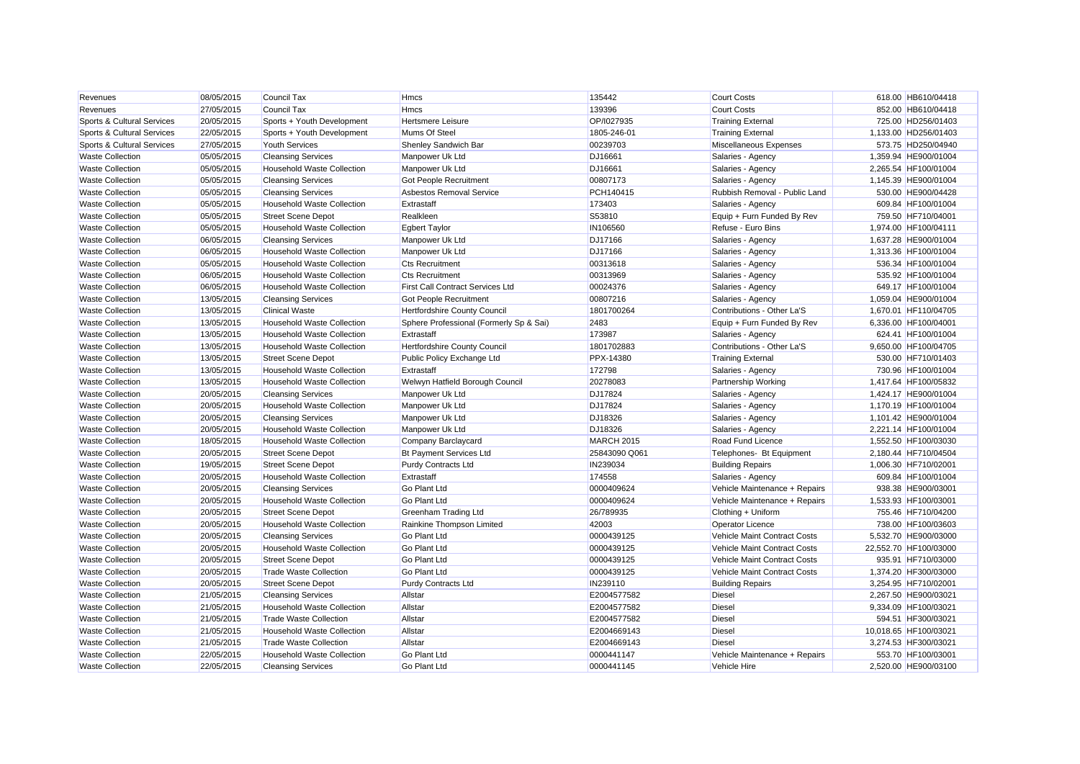| Revenues                   | 08/05/2015 | <b>Council Tax</b>                | <b>Hmcs</b>                             | 135442         | <b>Court Costs</b>            | 618.00 HB610/04418    |
|----------------------------|------------|-----------------------------------|-----------------------------------------|----------------|-------------------------------|-----------------------|
| Revenues                   | 27/05/2015 | <b>Council Tax</b>                | <b>Hmcs</b>                             | 139396         | <b>Court Costs</b>            | 852.00 HB610/04418    |
| Sports & Cultural Services | 20/05/2015 | Sports + Youth Development        | <b>Hertsmere Leisure</b>                | OP/I027935     | <b>Training External</b>      | 725.00 HD256/01403    |
| Sports & Cultural Services | 22/05/2015 | Sports + Youth Development        | Mums Of Steel                           | 1805-246-01    | <b>Training External</b>      | 1,133.00 HD256/01403  |
| Sports & Cultural Services | 27/05/2015 | <b>Youth Services</b>             | Shenley Sandwich Bar                    | 00239703       | Miscellaneous Expenses        | 573.75 HD250/04940    |
| <b>Waste Collection</b>    | 05/05/2015 | <b>Cleansing Services</b>         | Manpower Uk Ltd                         | DJ16661        | Salaries - Agency             | 1,359.94 HE900/01004  |
| <b>Waste Collection</b>    | 05/05/2015 | <b>Household Waste Collection</b> | Manpower Uk Ltd                         | DJ16661        | Salaries - Agency             | 2.265.54 HF100/01004  |
| <b>Waste Collection</b>    | 05/05/2015 | <b>Cleansing Services</b>         | Got People Recruitment                  | 00807173       | Salaries - Agency             | 1,145.39 HE900/01004  |
| <b>Waste Collection</b>    | 05/05/2015 | <b>Cleansing Services</b>         | Asbestos Removal Service                | PCH140415      | Rubbish Removal - Public Land | 530.00 HE900/04428    |
| <b>Waste Collection</b>    | 05/05/2015 | <b>Household Waste Collection</b> | Extrastaff                              | 173403         | Salaries - Agency             | 609.84 HF100/01004    |
| <b>Waste Collection</b>    | 05/05/2015 | <b>Street Scene Depot</b>         | Realkleen                               | S53810         | Equip + Furn Funded By Rev    | 759.50 HF710/04001    |
| <b>Waste Collection</b>    | 05/05/2015 | <b>Household Waste Collection</b> | <b>Egbert Taylor</b>                    | IN106560       | Refuse - Euro Bins            | 1,974.00 HF100/04111  |
| <b>Waste Collection</b>    | 06/05/2015 | <b>Cleansing Services</b>         | Manpower Uk Ltd                         | DJ17166        | Salaries - Agency             | 1,637.28 HE900/01004  |
| <b>Waste Collection</b>    | 06/05/2015 | Household Waste Collection        | Manpower Uk Ltd                         | DJ17166        | Salaries - Agency             | 1.313.36 HF100/01004  |
| <b>Waste Collection</b>    | 05/05/2015 | <b>Household Waste Collection</b> | <b>Cts Recruitment</b>                  | 00313618       | Salaries - Agency             | 536.34 HF100/01004    |
| <b>Waste Collection</b>    | 06/05/2015 | Household Waste Collection        | <b>Cts Recruitment</b>                  | 00313969       | Salaries - Agency             | 535.92 HF100/01004    |
| <b>Waste Collection</b>    | 06/05/2015 | <b>Household Waste Collection</b> | <b>First Call Contract Services Ltd</b> | 00024376       | Salaries - Agency             | 649.17 HF100/01004    |
| <b>Waste Collection</b>    | 13/05/2015 | <b>Cleansing Services</b>         | Got People Recruitment                  | 00807216       | Salaries - Agency             | 1,059.04 HE900/01004  |
| <b>Waste Collection</b>    | 13/05/2015 | <b>Clinical Waste</b>             | <b>Hertfordshire County Council</b>     | 1801700264     | Contributions - Other La'S    | 1,670.01 HF110/04705  |
| <b>Waste Collection</b>    | 13/05/2015 | <b>Household Waste Collection</b> | Sphere Professional (Formerly Sp & Sai) | 2483           | Equip + Furn Funded By Rev    | 6,336.00 HF100/04001  |
| <b>Waste Collection</b>    | 13/05/2015 | Household Waste Collection        | Extrastaff                              | 173987         | Salaries - Agency             | 624.41 HF100/01004    |
| <b>Waste Collection</b>    | 13/05/2015 | Household Waste Collection        | Hertfordshire County Council            | 1801702883     | Contributions - Other La'S    | 9,650.00 HF100/04705  |
| <b>Waste Collection</b>    | 13/05/2015 | <b>Street Scene Depot</b>         | Public Policy Exchange Ltd              | PPX-14380      | <b>Training External</b>      | 530.00 HF710/01403    |
| <b>Waste Collection</b>    | 13/05/2015 | Household Waste Collection        | Extrastaff                              | 172798         | Salaries - Agency             | 730.96 HF100/01004    |
| <b>Waste Collection</b>    | 13/05/2015 | <b>Household Waste Collection</b> | Welwyn Hatfield Borough Council         | 20278083       | <b>Partnership Working</b>    | 1,417.64 HF100/05832  |
| <b>Waste Collection</b>    | 20/05/2015 | <b>Cleansing Services</b>         | Manpower Uk Ltd                         | DJ17824        | Salaries - Agency             | 1,424.17 HE900/01004  |
| <b>Waste Collection</b>    | 20/05/2015 | Household Waste Collection        | Manpower Uk Ltd                         | <b>DJ17824</b> | Salaries - Agency             | 1,170.19 HF100/01004  |
| <b>Waste Collection</b>    | 20/05/2015 | <b>Cleansing Services</b>         | Manpower Uk Ltd                         | DJ18326        | Salaries - Agency             | 1.101.42 HE900/01004  |
| <b>Waste Collection</b>    | 20/05/2015 | Household Waste Collection        | Manpower Uk Ltd                         | DJ18326        | Salaries - Agency             | 2,221.14 HF100/01004  |
| <b>Waste Collection</b>    | 18/05/2015 | <b>Household Waste Collection</b> | Company Barclaycard                     | MARCH 2015     | Road Fund Licence             | 1,552.50 HF100/03030  |
| <b>Waste Collection</b>    | 20/05/2015 | <b>Street Scene Depot</b>         | <b>Bt Payment Services Ltd</b>          | 25843090 Q061  | Telephones- Bt Equipment      | 2.180.44 HF710/04504  |
| <b>Waste Collection</b>    | 19/05/2015 | <b>Street Scene Depot</b>         | Purdy Contracts Ltd                     | IN239034       | <b>Building Repairs</b>       | 1,006.30 HF710/02001  |
| <b>Waste Collection</b>    | 20/05/2015 | Household Waste Collection        | Extrastaff                              | 174558         | Salaries - Agency             | 609.84 HF100/01004    |
| <b>Waste Collection</b>    | 20/05/2015 | <b>Cleansing Services</b>         | <b>Go Plant Ltd</b>                     | 0000409624     | Vehicle Maintenance + Repairs | 938.38 HE900/03001    |
| <b>Waste Collection</b>    | 20/05/2015 | Household Waste Collection        | <b>Go Plant Ltd</b>                     | 0000409624     | Vehicle Maintenance + Repairs | 1,533.93 HF100/03001  |
| <b>Waste Collection</b>    | 20/05/2015 | <b>Street Scene Depot</b>         | Greenham Trading Ltd                    | 26/789935      | Clothing + Uniform            | 755.46 HF710/04200    |
| <b>Waste Collection</b>    | 20/05/2015 | <b>Household Waste Collection</b> | Rainkine Thompson Limited               | 42003          | <b>Operator Licence</b>       | 738.00 HF100/03603    |
| <b>Waste Collection</b>    | 20/05/2015 | <b>Cleansing Services</b>         | <b>Go Plant Ltd</b>                     | 0000439125     | Vehicle Maint Contract Costs  | 5,532.70 HE900/03000  |
| <b>Waste Collection</b>    | 20/05/2015 | <b>Household Waste Collection</b> | <b>Go Plant Ltd</b>                     | 0000439125     | Vehicle Maint Contract Costs  | 22,552.70 HF100/03000 |
| <b>Waste Collection</b>    | 20/05/2015 | <b>Street Scene Depot</b>         | <b>Go Plant Ltd</b>                     | 0000439125     | Vehicle Maint Contract Costs  | 935.91 HF710/03000    |
| <b>Waste Collection</b>    | 20/05/2015 | <b>Trade Waste Collection</b>     | <b>Go Plant Ltd</b>                     | 0000439125     | Vehicle Maint Contract Costs  | 1,374.20 HF300/03000  |
| <b>Waste Collection</b>    | 20/05/2015 | <b>Street Scene Depot</b>         | Purdy Contracts Ltd                     | IN239110       | <b>Building Repairs</b>       | 3.254.95 HF710/02001  |
| <b>Waste Collection</b>    | 21/05/2015 | <b>Cleansing Services</b>         | Allstar                                 | E2004577582    | <b>Diesel</b>                 | 2,267.50 HE900/03021  |
| <b>Waste Collection</b>    | 21/05/2015 | Household Waste Collection        | Allstar                                 | E2004577582    | <b>Diesel</b>                 | 9,334.09 HF100/03021  |
| <b>Waste Collection</b>    | 21/05/2015 | <b>Trade Waste Collection</b>     | Allstar                                 | E2004577582    | <b>Diesel</b>                 | 594.51 HF300/03021    |
| <b>Waste Collection</b>    | 21/05/2015 | <b>Household Waste Collection</b> | Allstar                                 | E2004669143    | <b>Diesel</b>                 | 10,018.65 HF100/03021 |
| <b>Waste Collection</b>    | 21/05/2015 | <b>Trade Waste Collection</b>     | Allstar                                 | E2004669143    | <b>Diesel</b>                 | 3,274.53 HF300/03021  |
| <b>Waste Collection</b>    | 22/05/2015 | Household Waste Collection        | <b>Go Plant Ltd</b>                     | 0000441147     | Vehicle Maintenance + Repairs | 553.70 HF100/03001    |
| <b>Waste Collection</b>    | 22/05/2015 | <b>Cleansing Services</b>         | <b>Go Plant Ltd</b>                     | 0000441145     | Vehicle Hire                  | 2.520.00 HE900/03100  |